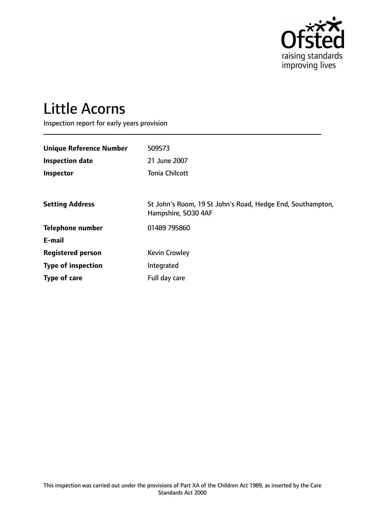

# Little Acorns

Inspection report for early years provision

| <b>Unique Reference Number</b> | 509573                                                                            |
|--------------------------------|-----------------------------------------------------------------------------------|
| <b>Inspection date</b>         | 21 June 2007                                                                      |
| Inspector                      | <b>Tonia Chilcott</b>                                                             |
|                                |                                                                                   |
| <b>Setting Address</b>         | St John's Room, 19 St John's Road, Hedge End, Southampton,<br>Hampshire, SO30 4AF |
| <b>Telephone number</b>        | 01489 795860                                                                      |
| E-mail                         |                                                                                   |
| <b>Registered person</b>       | <b>Kevin Crowley</b>                                                              |
| <b>Type of inspection</b>      | Integrated                                                                        |
| Type of care                   | Full day care                                                                     |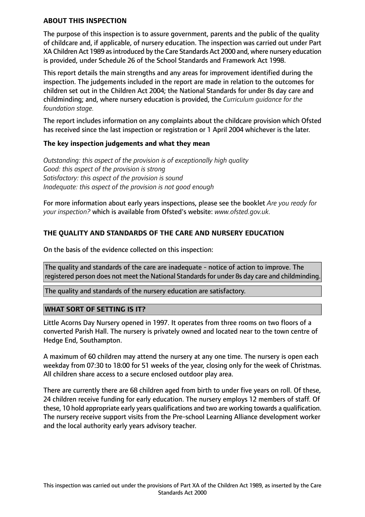#### **ABOUT THIS INSPECTION**

The purpose of this inspection is to assure government, parents and the public of the quality of childcare and, if applicable, of nursery education. The inspection was carried out under Part XA Children Act 1989 asintroduced by the Care Standards Act 2000 and, where nursery education is provided, under Schedule 26 of the School Standards and Framework Act 1998.

This report details the main strengths and any areas for improvement identified during the inspection. The judgements included in the report are made in relation to the outcomes for children set out in the Children Act 2004; the National Standards for under 8s day care and childminding; and, where nursery education is provided, the *Curriculum guidance for the foundation stage.*

The report includes information on any complaints about the childcare provision which Ofsted has received since the last inspection or registration or 1 April 2004 whichever is the later.

#### **The key inspection judgements and what they mean**

*Outstanding: this aspect of the provision is of exceptionally high quality Good: this aspect of the provision is strong Satisfactory: this aspect of the provision is sound Inadequate: this aspect of the provision is not good enough*

For more information about early years inspections, please see the booklet *Are you ready for your inspection?* which is available from Ofsted's website: *www.ofsted.gov.uk.*

## **THE QUALITY AND STANDARDS OF THE CARE AND NURSERY EDUCATION**

On the basis of the evidence collected on this inspection:

The quality and standards of the care are inadequate - notice of action to improve. The registered person does not meet the National Standards for under 8s day care and childminding.

The quality and standards of the nursery education are satisfactory.

## **WHAT SORT OF SETTING IS IT?**

Little Acorns Day Nursery opened in 1997. It operates from three rooms on two floors of a converted Parish Hall. The nursery is privately owned and located near to the town centre of Hedge End, Southampton.

A maximum of 60 children may attend the nursery at any one time. The nursery is open each weekday from 07:30 to 18:00 for 51 weeks of the year, closing only for the week of Christmas. All children share access to a secure enclosed outdoor play area.

There are currently there are 68 children aged from birth to under five years on roll. Of these, 24 children receive funding for early education. The nursery employs 12 members of staff. Of these, 10 hold appropriate early years qualifications and two are working towards a qualification. The nursery receive support visits from the Pre-school Learning Alliance development worker and the local authority early years advisory teacher.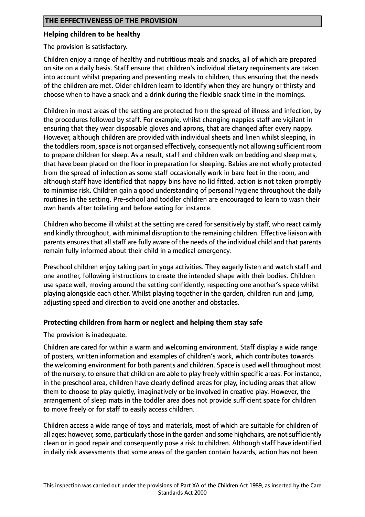#### **Helping children to be healthy**

The provision is satisfactory.

Children enjoy a range of healthy and nutritious meals and snacks, all of which are prepared on site on a daily basis. Staff ensure that children's individual dietary requirements are taken into account whilst preparing and presenting meals to children, thus ensuring that the needs of the children are met. Older children learn to identify when they are hungry or thirsty and choose when to have a snack and a drink during the flexible snack time in the mornings.

Children in most areas of the setting are protected from the spread of illness and infection, by the procedures followed by staff. For example, whilst changing nappies staff are vigilant in ensuring that they wear disposable gloves and aprons, that are changed after every nappy. However, although children are provided with individual sheets and linen whilst sleeping, in the toddlers room, space is not organised effectively, consequently not allowing sufficient room to prepare children for sleep. As a result, staff and children walk on bedding and sleep mats, that have been placed on the floor in preparation for sleeping. Babies are not wholly protected from the spread of infection as some staff occasionally work in bare feet in the room, and although staff have identified that nappy bins have no lid fitted, action is not taken promptly to minimise risk. Children gain a good understanding of personal hygiene throughout the daily routines in the setting. Pre-school and toddler children are encouraged to learn to wash their own hands after toileting and before eating for instance.

Children who become ill whilst at the setting are cared for sensitively by staff, who react calmly and kindly throughout, with minimal disruption to the remaining children. Effective liaison with parents ensures that all staff are fully aware of the needs of the individual child and that parents remain fully informed about their child in a medical emergency.

Preschool children enjoy taking part in yoga activities. They eagerly listen and watch staff and one another, following instructions to create the intended shape with their bodies. Children use space well, moving around the setting confidently, respecting one another's space whilst playing alongside each other. Whilst playing together in the garden, children run and jump, adjusting speed and direction to avoid one another and obstacles.

## **Protecting children from harm or neglect and helping them stay safe**

The provision is inadequate.

Children are cared for within a warm and welcoming environment. Staff display a wide range of posters, written information and examples of children's work, which contributes towards the welcoming environment for both parents and children. Space is used well throughout most of the nursery, to ensure that children are able to play freely within specific areas. For instance, in the preschool area, children have clearly defined areas for play, including areas that allow them to choose to play quietly, imaginatively or be involved in creative play. However, the arrangement of sleep mats in the toddler area does not provide sufficient space for children to move freely or for staff to easily access children.

Children access a wide range of toys and materials, most of which are suitable for children of all ages; however, some, particularly those in the garden and some highchairs, are not sufficiently clean or in good repair and consequently pose a risk to children. Although staff have identified in daily risk assessments that some areas of the garden contain hazards, action has not been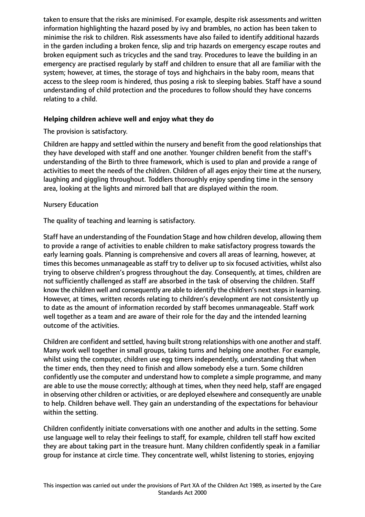taken to ensure that the risks are minimised. For example, despite risk assessments and written information highlighting the hazard posed by ivy and brambles, no action has been taken to minimise the risk to children. Risk assessments have also failed to identify additional hazards in the garden including a broken fence, slip and trip hazards on emergency escape routes and broken equipment such as tricycles and the sand tray. Procedures to leave the building in an emergency are practised regularly by staff and children to ensure that all are familiar with the system; however, at times, the storage of toys and highchairs in the baby room, means that access to the sleep room is hindered, thus posing a risk to sleeping babies. Staff have a sound understanding of child protection and the procedures to follow should they have concerns relating to a child.

## **Helping children achieve well and enjoy what they do**

The provision is satisfactory.

Children are happy and settled within the nursery and benefit from the good relationships that they have developed with staff and one another. Younger children benefit from the staff's understanding of the Birth to three framework, which is used to plan and provide a range of activities to meet the needs of the children. Children of all ages enjoy their time at the nursery, laughing and giggling throughout. Toddlers thoroughly enjoy spending time in the sensory area, looking at the lights and mirrored ball that are displayed within the room.

## Nursery Education

The quality of teaching and learning is satisfactory.

Staff have an understanding of the Foundation Stage and how children develop, allowing them to provide a range of activities to enable children to make satisfactory progress towards the early learning goals. Planning is comprehensive and covers all areas of learning, however, at times this becomes unmanageable as staff try to deliver up to six focused activities, whilst also trying to observe children's progress throughout the day. Consequently, at times, children are not sufficiently challenged as staff are absorbed in the task of observing the children. Staff know the children well and consequently are able to identify the children's next steps in learning. However, at times, written records relating to children's development are not consistently up to date as the amount of information recorded by staff becomes unmanageable. Staff work well together as a team and are aware of their role for the day and the intended learning outcome of the activities.

Children are confident and settled, having built strong relationships with one another and staff. Many work well together in small groups, taking turns and helping one another. For example, whilst using the computer, children use egg timers independently, understanding that when the timer ends, then they need to finish and allow somebody else a turn. Some children confidently use the computer and understand how to complete a simple programme, and many are able to use the mouse correctly; although at times, when they need help, staff are engaged in observing other children or activities, or are deployed elsewhere and consequently are unable to help. Children behave well. They gain an understanding of the expectations for behaviour within the setting.

Children confidently initiate conversations with one another and adults in the setting. Some use language well to relay their feelings to staff, for example, children tell staff how excited they are about taking part in the treasure hunt. Many children confidently speak in a familiar group for instance at circle time. They concentrate well, whilst listening to stories, enjoying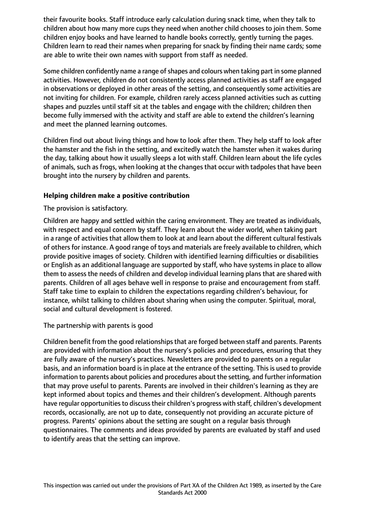their favourite books. Staff introduce early calculation during snack time, when they talk to children about how many more cups they need when another child chooses to join them. Some children enjoy books and have learned to handle books correctly, gently turning the pages. Children learn to read their names when preparing for snack by finding their name cards; some are able to write their own names with support from staff as needed.

Some children confidently name a range of shapes and colours when taking part in some planned activities. However, children do not consistently access planned activities as staff are engaged in observations or deployed in other areas of the setting, and consequently some activities are not inviting for children. For example, children rarely access planned activities such as cutting shapes and puzzles until staff sit at the tables and engage with the children; children then become fully immersed with the activity and staff are able to extend the children's learning and meet the planned learning outcomes.

Children find out about living things and how to look after them. They help staff to look after the hamster and the fish in the setting, and excitedly watch the hamster when it wakes during the day, talking about how it usually sleeps a lot with staff. Children learn about the life cycles of animals, such as frogs, when looking at the changes that occur with tadpoles that have been brought into the nursery by children and parents.

## **Helping children make a positive contribution**

The provision is satisfactory.

Children are happy and settled within the caring environment. They are treated as individuals, with respect and equal concern by staff. They learn about the wider world, when taking part in a range of activities that allow them to look at and learn about the different cultural festivals of others for instance. A good range of toys and materials are freely available to children, which provide positive images of society. Children with identified learning difficulties or disabilities or English as an additional language are supported by staff, who have systems in place to allow them to assess the needs of children and develop individual learning plans that are shared with parents. Children of all ages behave well in response to praise and encouragement from staff. Staff take time to explain to children the expectations regarding children's behaviour, for instance, whilst talking to children about sharing when using the computer. Spiritual, moral, social and cultural development is fostered.

## The partnership with parents is good

Children benefit from the good relationships that are forged between staff and parents. Parents are provided with information about the nursery's policies and procedures, ensuring that they are fully aware of the nursery's practices. Newsletters are provided to parents on a regular basis, and an information board is in place at the entrance of the setting. This is used to provide information to parents about policies and procedures about the setting, and further information that may prove useful to parents. Parents are involved in their children's learning as they are kept informed about topics and themes and their children's development. Although parents have regular opportunities to discuss their children's progress with staff, children's development records, occasionally, are not up to date, consequently not providing an accurate picture of progress. Parents' opinions about the setting are sought on a regular basis through questionnaires. The comments and ideas provided by parents are evaluated by staff and used to identify areas that the setting can improve.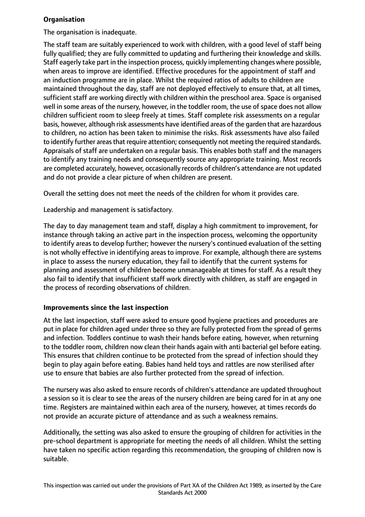## **Organisation**

The organisation is inadequate.

The staff team are suitably experienced to work with children, with a good level of staff being fully qualified; they are fully committed to updating and furthering their knowledge and skills. Staff eagerly take part in the inspection process, quickly implementing changes where possible, when areas to improve are identified. Effective procedures for the appointment of staff and an induction programme are in place. Whilst the required ratios of adults to children are maintained throughout the day, staff are not deployed effectively to ensure that, at all times, sufficient staff are working directly with children within the preschool area. Space is organised well in some areas of the nursery, however, in the toddler room, the use of space does not allow children sufficient room to sleep freely at times. Staff complete risk assessments on a regular basis, however, although risk assessments have identified areas of the garden that are hazardous to children, no action has been taken to minimise the risks. Risk assessments have also failed to identify further areasthat require attention; consequently not meeting the required standards. Appraisals of staff are undertaken on a regular basis. This enables both staff and the managers to identify any training needs and consequently source any appropriate training. Most records are completed accurately, however, occasionally records of children's attendance are not updated and do not provide a clear picture of when children are present.

Overall the setting does not meet the needs of the children for whom it provides care.

Leadership and management is satisfactory.

The day to day management team and staff, display a high commitment to improvement, for instance through taking an active part in the inspection process, welcoming the opportunity to identify areas to develop further; however the nursery's continued evaluation of the setting is not wholly effective in identifying areas to improve. For example, although there are systems in place to assess the nursery education, they fail to identify that the current systems for planning and assessment of children become unmanageable at times for staff. As a result they also fail to identify that insufficient staff work directly with children, as staff are engaged in the process of recording observations of children.

## **Improvements since the last inspection**

At the last inspection, staff were asked to ensure good hygiene practices and procedures are put in place for children aged under three so they are fully protected from the spread of germs and infection. Toddlers continue to wash their hands before eating, however, when returning to the toddler room, children now clean their hands again with anti bacterial gel before eating. This ensures that children continue to be protected from the spread of infection should they begin to play again before eating. Babies hand held toys and rattles are now sterilised after use to ensure that babies are also further protected from the spread of infection.

The nursery was also asked to ensure records of children's attendance are updated throughout a session so it is clear to see the areas of the nursery children are being cared for in at any one time. Registers are maintained within each area of the nursery, however, at times records do not provide an accurate picture of attendance and as such a weakness remains.

Additionally, the setting was also asked to ensure the grouping of children for activities in the pre-school department is appropriate for meeting the needs of all children. Whilst the setting have taken no specific action regarding this recommendation, the grouping of children now is suitable.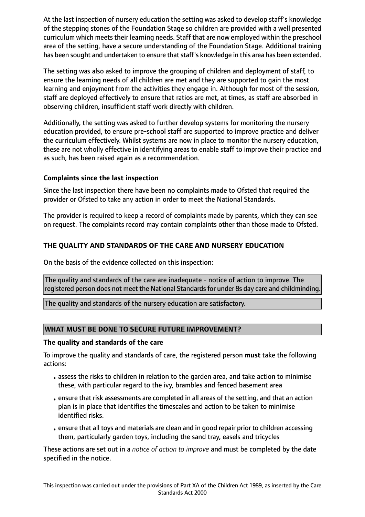At the last inspection of nursery education the setting was asked to develop staff's knowledge of the stepping stones of the Foundation Stage so children are provided with a well presented curriculum which meets their learning needs. Staff that are now employed within the preschool area of the setting, have a secure understanding of the Foundation Stage. Additional training has been sought and undertaken to ensure that staff's knowledge in this area has been extended.

The setting was also asked to improve the grouping of children and deployment of staff, to ensure the learning needs of all children are met and they are supported to gain the most learning and enjoyment from the activities they engage in. Although for most of the session, staff are deployed effectively to ensure that ratios are met, at times, as staff are absorbed in observing children, insufficient staff work directly with children.

Additionally, the setting was asked to further develop systems for monitoring the nursery education provided, to ensure pre-school staff are supported to improve practice and deliver the curriculum effectively. Whilst systems are now in place to monitor the nursery education, these are not wholly effective in identifying areas to enable staff to improve their practice and as such, has been raised again as a recommendation.

## **Complaints since the last inspection**

Since the last inspection there have been no complaints made to Ofsted that required the provider or Ofsted to take any action in order to meet the National Standards.

The provider is required to keep a record of complaints made by parents, which they can see on request. The complaints record may contain complaints other than those made to Ofsted.

# **THE QUALITY AND STANDARDS OF THE CARE AND NURSERY EDUCATION**

On the basis of the evidence collected on this inspection:

The quality and standards of the care are inadequate - notice of action to improve. The registered person does not meet the National Standards for under 8s day care and childminding.

The quality and standards of the nursery education are satisfactory.

# **WHAT MUST BE DONE TO SECURE FUTURE IMPROVEMENT?**

## **The quality and standards of the care**

To improve the quality and standards of care, the registered person **must** take the following actions:

- •assess the risks to children in relation to the garden area, and take action to minimise these, with particular regard to the ivy, brambles and fenced basement area
- •ensure that risk assessments are completed in all areas of the setting, and that an action plan is in place that identifies the timescales and action to be taken to minimise identified risks.
- •ensure that all toys and materials are clean and in good repair prior to children accessing them, particularly garden toys, including the sand tray, easels and tricycles

These actions are set out in a *notice of action to improve* and must be completed by the date specified in the notice.